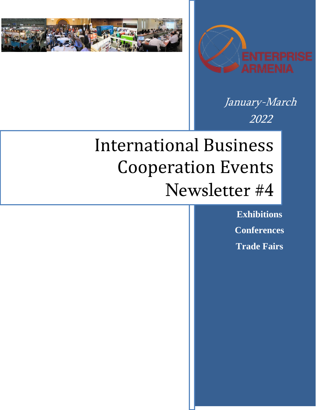



January-March 2022

# International Business Cooperation Events Newsletter #4

**Exhibitions Conferences Trade Fairs**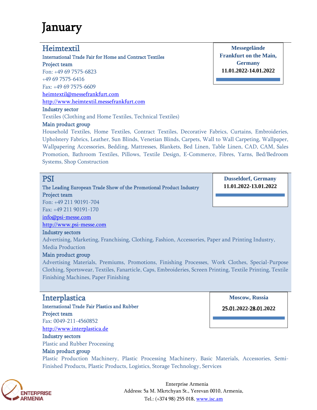## January

## Heimtextil

International Trade Fair for Home and Contract Textiles Project team Fon: +49 69 7575-6823 +49 69 7575-6416 Fax: +49 69 7575-6609 [heimtextil@messefrankfurt.com](mailto:heimtextil@messefrankfurt.com) [http://www.heimtextil.messefrankfurt.com](http://www.heimtextil.messefrankfurt.com/)  Industry sector

Textiles (Clothing and Home Textiles, Technical Textiles)

### Main product group

Household Textiles, Home Textiles, Contract Textiles, Decorative Fabrics, Curtains, Embroideries, Upholstery Fabrics, Leather, Sun Blinds, Venetian Blinds, Carpets, Wall to Wall Carpeting, Wallpaper, Wallpapering Accessories, Bedding, Mattresses, Blankets, Bed Linen, Table Linen, CAD, CAM, Sales Promotion, Bathroom Textiles, Pillows, Textile Design, E-Commerce, Fibres, Yarns, Bed/Bedroom Systems, Shop Construction

## **PSI**

The Leading European Trade Show of the Promotional Product Industry Project team

**Dusseldorf, Germany 11.01.2022-13.01.2022**

**Messegelände Frankfurt on the Main, Germany 11.01.2022-14.01.2022**

Fon: +49 211 90191-704 Fax: +49 211 90191-170

info@psi-messe.com

[http://www.psi-messe.com](http://www.psi-messe.com/)

### Industry sectors

Advertising, Marketing, Franchising, Clothing, Fashion, Accessories, Paper and Printing Industry, Media Production

## Main product group

Advertising Materials, Premiums, Promotions, Finishing Processes, Work Clothes, Special-Purpose Clothing, Sportswear, Textiles, Fanarticle, Caps, Embroideries, Screen Printing, Textile Printing, Textile Finishing Machines, Paper Finishing

## **Interplastica**

International Trade Fair Plastics and Rubber Project team Fax: 0049-211-4560852 [http://www.interplastica.de](http://www.interplastica.de/) Industry sectors

Plastic and Rubber Processing

## Main product group

Plastic Production Machinery, Plastic Processing Machinery, Basic Materials, Accessories, Semi-Finished Products, Plastic Products, Logistics, Storage Technology, Services



Enterprise Armenia Address: 5a M. Mkrtchyan St., Yerevan 0010, Armenia, Tel.: (+374 98) 255 018, [www.isc.am](http://www.isc.am/) 

**Moscow, Russia**

25**.**01**.2022-**28**.**01**.2022**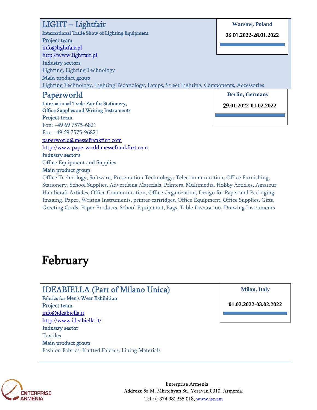| $LIGHT-Lightfair$                                                                         | <b>Warsaw, Poland</b>  |
|-------------------------------------------------------------------------------------------|------------------------|
| <b>International Trade Show of Lighting Equipment</b>                                     | 26.01.2022-28.01.2022  |
| Project team                                                                              |                        |
| info@lightfair.pl                                                                         |                        |
| http://www.lightfair.pl                                                                   |                        |
| <b>Industry sectors</b>                                                                   |                        |
| <b>Lighting, Lighting Technology</b>                                                      |                        |
| Main product group                                                                        |                        |
| Lighting Technology, Lighting Technology, Lamps, Street Lighting, Components, Accessories |                        |
| Paperworld                                                                                | <b>Berlin, Germany</b> |
| <b>International Trade Fair for Stationery,</b>                                           | 29.01.2022-01.02.2022  |
| <b>Office Supplies and Writing Instruments</b>                                            |                        |
| Project team                                                                              |                        |
| Fon: +49 69 7575-6821                                                                     |                        |
| Fax: +49 69 7575-96821                                                                    |                        |
| paperworld@messefrankfurt.com                                                             |                        |
| http://www.paperworld.messefrankfurt.com                                                  |                        |
|                                                                                           |                        |
| <b>Industry sectors</b>                                                                   |                        |

#### Main product group

Office Technology, Software, Presentation Technology, Telecommunication, Office Furnishing, Stationery, School Supplies, Advertising Materials, Printers, Multimedia, Hobby Articles, Amateur Handicraft Articles, Office Communication, Office Organization, Design for Paper and Packaging, Imaging, Paper, Writing Instruments, printer cartridges, Office Equipment, Office Supplies, Gifts, Greeting Cards, Paper Products, School Equipment, Bags, Table Decoration, Drawing Instruments

## February

## IDEABIELLA (Part of Milano Unica)

Fabrics for Men's Wear Exhibition Project team [info@ideabiella.it](mailto:info@ideabiella.it) <http://www.ideabiella.it/> Industry sector Textiles Main product group

Fashion Fabrics, Knitted Fabrics, Lining Materials

#### **Milan, Italy**

**01.02.2022-03.02.2022**



Enterprise Armenia Address: 5a M. Mkrtchyan St., Yerevan 0010, Armenia, Tel.: (+374 98) 255 018, [www.isc.am](http://www.isc.am/)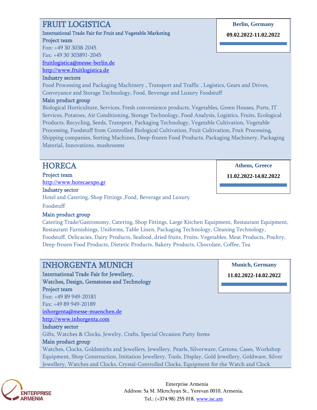## FRUIT LOGISTICA

International Trade Fair for Fruit and Vegetable Marketing Project team Fon: +49 30 3038-2045

Fax: +49 30 303891-2045

fruitlogistica@messe-berlin.de

[http://www.fruitlogistica.de](http://www.fruitlogistica.de/)

### Industry sectors

Food Processing and Packaging Machinery , Transport and Traffic , Logistics, Gears and Drives, Conveyance and Storage Technology, Food, Beverage and Luxury Foodstuff

## Main product group

Biological Horticulture, Services, Fresh convenience products, Vegetables, Green Houses, Ports, IT Services, Potatoes, Air Conditioning, Storage Technology, Food Analysis, Logistics, Fruits, Ecological Products, Recycling, Seeds, Transport, Packaging Technology, Vegetable Cultivation, Vegetable Processing, Foodstuff from Controlled Biological Cultivation, Fruit Cultivation, Fruit Processing, Shipping companies, Sorting Machines, Deep-frozen Food Products, Packaging Machinery, Packaging Material, Innovations, mushrooms

## **HORECA**

Project team [http://www.horecaexpo.gr](http://www.horecaexpo.gr/)

Industry sector

Hotel and Catering, Shop Fittings ,Food, Beverage and Luxury

Foodstuff

## Main product group

Catering Trade/Gastronomy, Catering, Shop Fittings, Large Kitchen Equipment, Restaurant Equipment, Restaurant Furnishings, Uniforms, Table Linen, Packaging Technology, Cleaning Technology, Foodstuff, Delicacies, Dairy Products, Seafood, dried fruits, Fruits, Vegetables, Meat Products, Poultry, Deep-frozen Food Products, Dietetic Products, Bakery Products, Chocolate, Coffee, Tea

## INHORGENTA MUNICH

International Trade Fair for Jewellery, Watches, Design, Gemstones and Technology

Project team

Fon: +49 89 949-20181 Fax: +49 89 949-20189

[inhorgenta@messe-muenchen.de](mailto:inhorgenta@messe-muenchen.de)

[http://www.inhorgenta.com](http://www.inhorgenta.com/)

## Industry sector

Gifts, Watches & Clocks, Jewelry, Crafts, Special Occasion Party Items

## Main product group

Watches, Clocks, Goldsmiths and Jewellers, Jewellery, Pearls, Silverware, Cartons, Cases, Workshop Equipment, Shop Construction, Imitation Jewellery, Tools, Display, Gold Jewellery, Goldware, Silver Jewellery, Watches and Clocks, Crystal-Controlled Clocks, Equipment for the Watch and Clock



Enterprise Armenia Address: 5a M. Mkrtchyan St., Yerevan 0010, Armenia, Tel.: (+374 98) 255 018, [www.isc.am](http://www.isc.am/) 

### **Berlin, Germany**

**09.02.2022-11.02.2022**

**Athens, Greece**

**11.02.2022-14.02.2022**

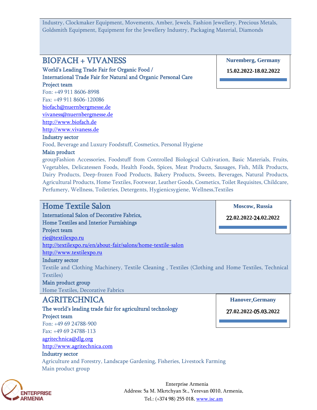Industry, Clockmaker Equipment, Movements, Amber, Jewels, Fashion Jewellery, Precious Metals, Goldsmith Equipment, Equipment for the Jewellery Industry, Packaging Material, Diamonds

## BIOFACH + VIVANESS

World's Leading Trade Fair for Organic Food / International Trade Fair for Natural and Organic Personal Care Project team

Fon: +49 911 8606-8998 Fax: +49 911 8606-120086 [biofach@nuernbergmesse.de](mailto:biofach@nuernbergmesse.de) [vivaness@nuernbergmesse.de](mailto:vivaness@nuernbergmesse.de) [http://www.biofach.de](http://www.biofach.de/)

[http://www.vivaness.de](http://www.vivaness.de/)

#### Industry sector

Food, Beverage and Luxury Foodstuff, Cosmetics, Personal Hygiene

#### Main product

groupFashion Accessories, Foodstuff from Controlled Biological Cultivation, Basic Materials, Fruits, Vegetables, Delicatessen Foods, Health Foods, Spices, Meat Products, Sausages, Fish, Milk Products, Dairy Products, Deep-frozen Food Products, Bakery Products, Sweets, Beverages, Natural Products, Agricultural Products, Home Textiles, Footwear, Leather Goods, Cosmetics, Toilet Requisites, Childcare, Perfumery, Wellness, Toiletries, Detergents, Hygienicsygiene, Wellness,Textiles

## Home Textile Salon

International Salon of Decorative Fabrics, Home Textiles and Interior Furnishings Project team [rie@textilexpo.ru](mailto:rie@textilexpo.ru) <http://textilexpo.ru/en/about-fair/salons/home-textile-salon> [http://www.textilexpo.ru](http://www.textilexpo.ru/)

#### Industry sector

Textile and Clothing Machinery, Textile Cleaning , Textiles (Clothing and Home Textiles, Technical Textiles)

#### Main product group

Home Textiles, Decorative Fabrics

## AGRITECHNICA

The world's leading trade fair for agricultural technology Project team

Fon: +49 69 24788-900 Fax: +49 69 24788-113 [agritechnica@dlg.org](mailto:agritechnica@dlg.org)

[http://www.agritechnica.com](http://www.agritechnica.com/)

## Industry sector

Agriculture and Forestry, Landscape Gardening, Fisheries, Livestock Farming Main product group

**Hanover**,**Germany**

**Moscow**, **Russia**

22**.02.2022-**24**.02.2022**

27**.02.2022-**05**.0**3**.2022**

**FNTFRPRISF ARMENIA** 

Enterprise Armenia Address: 5a M. Mkrtchyan St., Yerevan 0010, Armenia, Tel.: (+374 98) 255 018, [www.isc.am](http://www.isc.am/) 

**Nuremberg, Germany**

**15.02.2022-18.02.2022**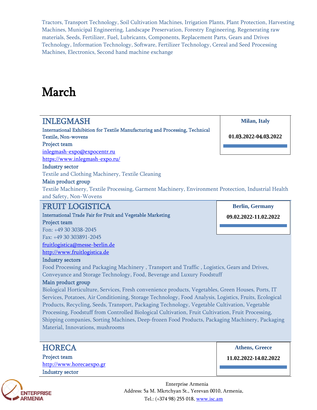Tractors, Transport Technology, Soil Cultivation Machines, Irrigation Plants, Plant Protection, Harvesting Machines, Municipal Engineering, Landscape Preservation, Forestry Engineering, Regenerating raw materials, Seeds, Fertilizer, Fuel, Lubricants, Components, Replacement Parts, Gears and Drives Technology, Information Technology, Software, Fertilizer Technology, Cereal and Seed Processing Machines, Electronics, Second hand machine exchange

## March

## INLEGMASH

International Exhibition for Textile Manufacturing and Processing, Technical Textile, Non-wovens Project team

**Milan, Italy**

**01.0**3**.2022-0**4**.0**3**.2022**

**Berlin, Germany 09.02.2022-11.02.2022**

## Industry sector

Textile and Clothing Machinery, Textile Cleaning

### Main product group

Textile Machinery, Textile Processing, Garment Machinery, Environment Protection, Industrial Health and Safety, Non-Wovens

## FRUIT LOGISTICA

[inlegmash-expo@expocentr.ru](mailto:inlegmash-expo@expocentr.ru) <https://www.inlegmash-expo.ru/>

International Trade Fair for Fruit and Vegetable Marketing

### Project team

Fon: +49 30 3038-2045 Fax: +49 30 303891-2045 fruitlogistica@messe-berlin.de [http://www.fruitlogistica.de](http://www.fruitlogistica.de/)

### Industry sectors

Food Processing and Packaging Machinery , Transport and Traffic , Logistics, Gears and Drives, Conveyance and Storage Technology, Food, Beverage and Luxury Foodstuff

### Main product group

Biological Horticulture, Services, Fresh convenience products, Vegetables, Green Houses, Ports, IT Services, Potatoes, Air Conditioning, Storage Technology, Food Analysis, Logistics, Fruits, Ecological Products, Recycling, Seeds, Transport, Packaging Technology, Vegetable Cultivation, Vegetable Processing, Foodstuff from Controlled Biological Cultivation, Fruit Cultivation, Fruit Processing, Shipping companies, Sorting Machines, Deep-frozen Food Products, Packaging Machinery, Packaging Material, Innovations, mushrooms

## **HORECA**

Project team [http://www.horecaexpo.gr](http://www.horecaexpo.gr/) Industry sector

**Athens, Greece**

**11.02.2022-14.02.2022**



Enterprise Armenia Address: 5a M. Mkrtchyan St., Yerevan 0010, Armenia, Tel.: (+374 98) 255 018, [www.isc.am](http://www.isc.am/)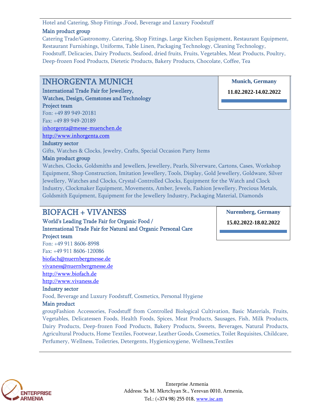## Hotel and Catering, Shop Fittings ,Food, Beverage and Luxury Foodstuff

### Main product group

Catering Trade/Gastronomy, Catering, Shop Fittings, Large Kitchen Equipment, Restaurant Equipment, Restaurant Furnishings, Uniforms, Table Linen, Packaging Technology, Cleaning Technology, Foodstuff, Delicacies, Dairy Products, Seafood, dried fruits, Fruits, Vegetables, Meat Products, Poultry, Deep-frozen Food Products, Dietetic Products, Bakery Products, Chocolate, Coffee, Tea

## INHORGENTA MUNICH

International Trade Fair for Jewellery, Watches, Design, Gemstones and Technology Project team

Fon: +49 89 949-20181 Fax: +49 89 949-20189 [inhorgenta@messe-muenchen.de](mailto:inhorgenta@messe-muenchen.de) [http://www.inhorgenta.com](http://www.inhorgenta.com/)

#### Industry sector

Gifts, Watches & Clocks, Jewelry, Crafts, Special Occasion Party Items

### Main product group

Watches, Clocks, Goldsmiths and Jewellers, Jewellery, Pearls, Silverware, Cartons, Cases, Workshop Equipment, Shop Construction, Imitation Jewellery, Tools, Display, Gold Jewellery, Goldware, Silver Jewellery, Watches and Clocks, Crystal-Controlled Clocks, Equipment for the Watch and Clock Industry, Clockmaker Equipment, Movements, Amber, Jewels, Fashion Jewellery, Precious Metals, Goldsmith Equipment, Equipment for the Jewellery Industry, Packaging Material, Diamonds

## BIOFACH + VIVANESS

World's Leading Trade Fair for Organic Food / International Trade Fair for Natural and Organic Personal Care Project team Fon: +49 911 8606-8998

Fax: +49 911 8606-120086 [biofach@nuernbergmesse.de](mailto:biofach@nuernbergmesse.de)

[vivaness@nuernbergmesse.de](mailto:vivaness@nuernbergmesse.de)

[http://www.biofach.de](http://www.biofach.de/)

[http://www.vivaness.de](http://www.vivaness.de/)

Industry sector

Food, Beverage and Luxury Foodstuff, Cosmetics, Personal Hygiene

### Main product

groupFashion Accessories, Foodstuff from Controlled Biological Cultivation, Basic Materials, Fruits, Vegetables, Delicatessen Foods, Health Foods, Spices, Meat Products, Sausages, Fish, Milk Products, Dairy Products, Deep-frozen Food Products, Bakery Products, Sweets, Beverages, Natural Products, Agricultural Products, Home Textiles, Footwear, Leather Goods, Cosmetics, Toilet Requisites, Childcare, Perfumery, Wellness, Toiletries, Detergents, Hygienicsygiene, Wellness,Textiles





**15.02.2022-18.02.2022**